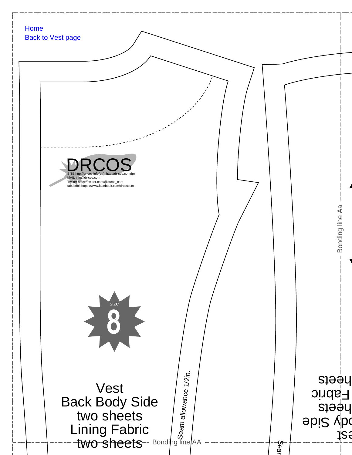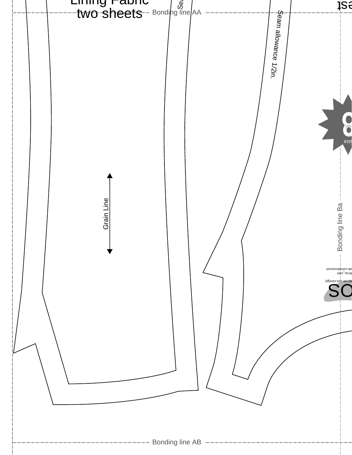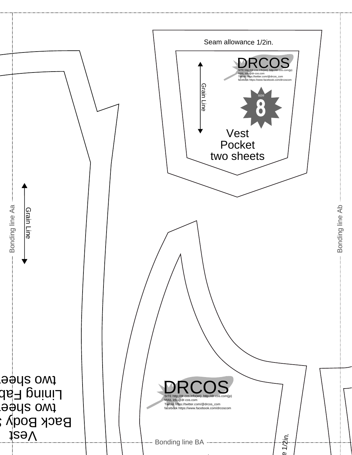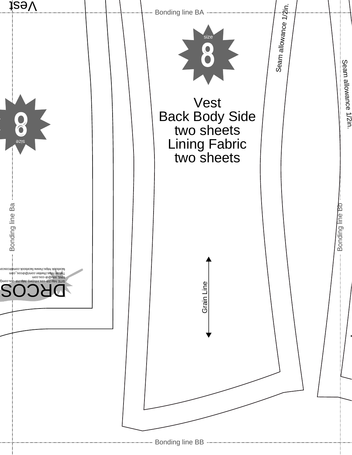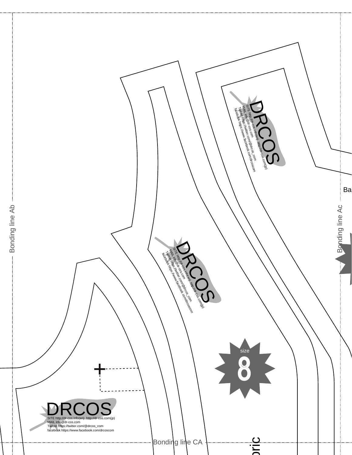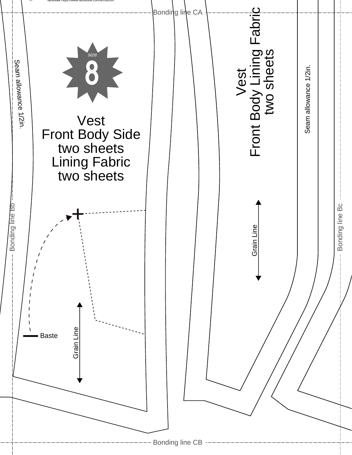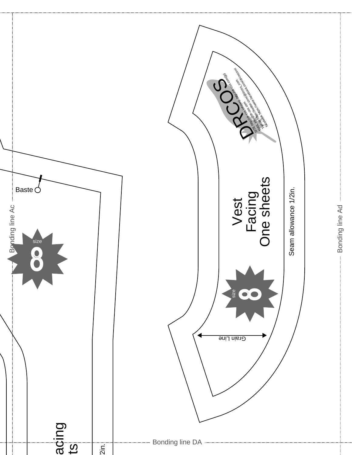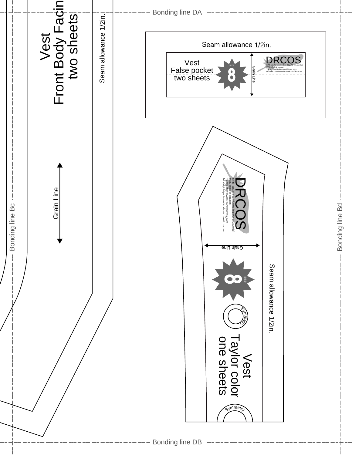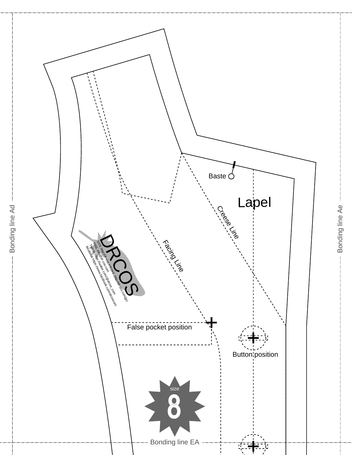